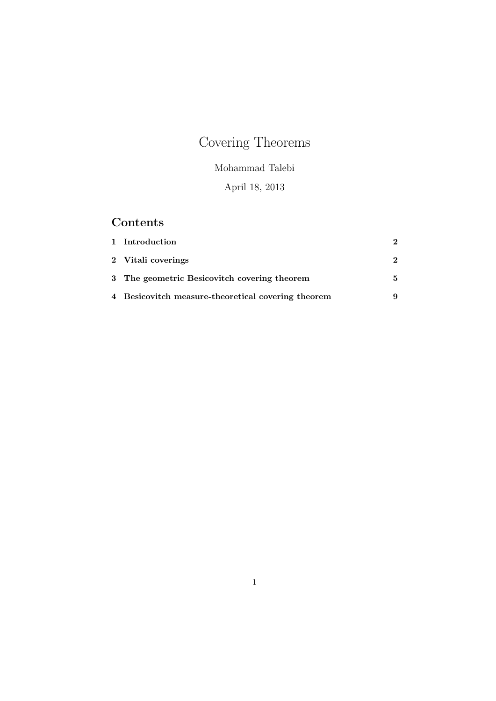# Covering Theorems

## Mohammad Talebi

# April 18, 2013

# Contents

| 1 Introduction                                     |  |
|----------------------------------------------------|--|
| 2 Vitali coverings                                 |  |
| 3 The geometric Besicovitch covering theorem       |  |
| 4 Besicovitch measure-theoretical covering theorem |  |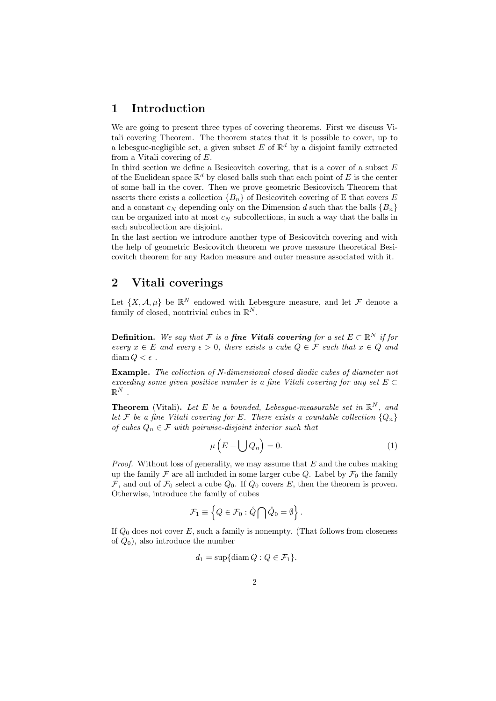#### 1 Introduction

We are going to present three types of covering theorems. First we discuss Vitali covering Theorem. The theorem states that it is possible to cover, up to a lebesgue-negligible set, a given subset E of  $\mathbb{R}^d$  by a disjoint family extracted from a Vitali covering of E.

In third section we define a Besicovitch covering, that is a cover of a subset  $E$ of the Euclidean space  $\mathbb{R}^d$  by closed balls such that each point of E is the center of some ball in the cover. Then we prove geometric Besicovitch Theorem that asserts there exists a collection  ${B_n}$  of Besicovitch covering of E that covers E and a constant  $c_N$  depending only on the Dimension d such that the balls  ${B_n}$ can be organized into at most  $c_N$  subcollections, in such a way that the balls in each subcollection are disjoint.

In the last section we introduce another type of Besicovitch covering and with the help of geometric Besicovitch theorem we prove measure theoretical Besicovitch theorem for any Radon measure and outer measure associated with it.

## 2 Vitali coverings

Let  $\{X, \mathcal{A}, \mu\}$  be  $\mathbb{R}^N$  endowed with Lebesgure measure, and let  $\mathcal F$  denote a family of closed, nontrivial cubes in  $\mathbb{R}^N$ .

**Definition.** We say that F is a **fine Vitali covering** for a set  $E \subset \mathbb{R}^N$  if for every  $x \in E$  and every  $\epsilon > 0$ , there exists a cube  $Q \in \mathcal{F}$  such that  $x \in Q$  and diam  $Q < \epsilon$ .

Example. The collection of N-dimensional closed diadic cubes of diameter not exceeding some given positive number is a fine Vitali covering for any set  $E \subset$  $\mathbb{R}^N$  .

**Theorem** (Vitali). Let E be a bounded, Lebesgue-measurable set in  $\mathbb{R}^N$ , and let F be a fine Vitali covering for E. There exists a countable collection  $\{Q_n\}$ of cubes  $Q_n \in \mathcal{F}$  with pairwise-disjoint interior such that

$$
\mu\left(E - \bigcup Q_n\right) = 0.\tag{1}
$$

*Proof.* Without loss of generality, we may assume that  $E$  and the cubes making up the family  $\mathcal F$  are all included in some larger cube Q. Label by  $\mathcal F_0$  the family  $\mathcal{F}$ , and out of  $\mathcal{F}_0$  select a cube  $Q_0$ . If  $Q_0$  covers E, then the theorem is proven. Otherwise, introduce the family of cubes

$$
\mathcal{F}_1 \equiv \left\{ Q \in \mathcal{F}_0 : \mathring{Q} \bigcap \mathring{Q}_0 = \emptyset \right\}.
$$

If  $Q_0$  does not cover E, such a family is nonempty. (That follows from closeness of  $Q_0$ ), also introduce the number

$$
d_1 = \sup\{\text{diam}\, Q : Q \in \mathcal{F}_1\}.
$$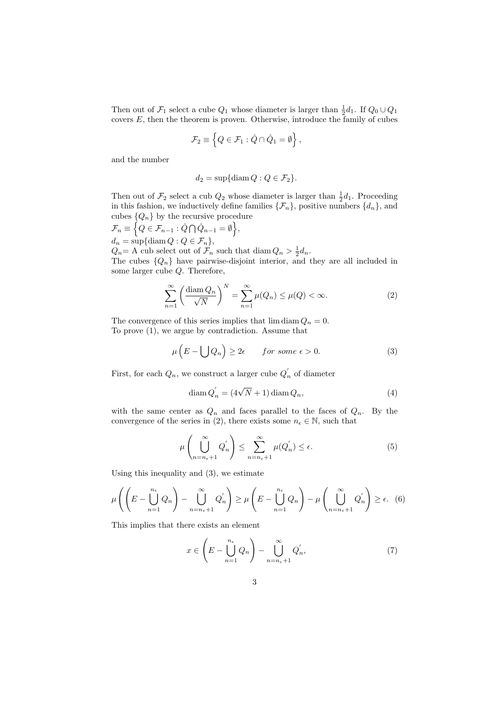Then out of  $\mathcal{F}_1$  select a cube  $Q_1$  whose diameter is larger than  $\frac{1}{2}d_1$ . If  $Q_0 \cup Q_1$ covers  $E$ , then the theorem is proven. Otherwise, introduce the family of cubes

$$
\mathcal{F}_2 \equiv \left\{ Q \in \mathcal{F}_1 : \mathring{Q} \cap \mathring{Q}_1 = \emptyset \right\},\
$$

and the number

$$
d_2 = \sup\{\mathrm{diam}\, Q : Q \in \mathcal{F}_2\}.
$$

Then out of  $\mathcal{F}_2$  select a cub  $Q_2$  whose diameter is larger than  $\frac{1}{2}d_1$ . Proceeding in this fashion, we inductively define families  $\{\mathcal{F}_n\}$ , positive numbers  $\{d_n\}$ , and cubes  $\{Q_n\}$  by the recursive procedure

$$
\mathcal{F}_n \equiv \Big\{ Q \in \mathcal{F}_{n-1} : \mathring{Q} \cap \mathring{Q}_{n-1} = \emptyset \Big\},\,
$$
  

$$
d_n = \sup \{ \text{diam } Q : Q \in \mathcal{F}_n \},\,
$$

 $Q_n = A$  cub select out of  $\mathcal{F}_n$  such that diam  $Q_n > \frac{1}{2}d_n$ . The cubes  $\{Q_n\}$  have pairwise-disjoint interior, and they are all included in some larger cube Q. Therefore,

$$
\sum_{n=1}^{\infty} \left( \frac{\text{diam } Q_n}{\sqrt{N}} \right)^N = \sum_{n=1}^{\infty} \mu(Q_n) \le \mu(Q) < \infty. \tag{2}
$$

The convergence of this series implies that  $\lim_{n \to \infty} Q_n = 0$ . To prove (1), we argue by contradiction. Assume that

$$
\mu\left(E - \bigcup Q_n\right) \ge 2\epsilon \qquad \text{for some } \epsilon > 0. \tag{3}
$$

First, for each  $Q_n$ , we construct a larger cube  $Q'_n$  of diameter

$$
\operatorname{diam} Q'_n = (4\sqrt{N} + 1)\operatorname{diam} Q_n,\tag{4}
$$

with the same center as  $Q_n$  and faces parallel to the faces of  $Q_n$ . By the convergence of the series in (2), there exists some  $n_{\epsilon} \in \mathbb{N}$ , such that

$$
\mu\left(\bigcup_{n=n_{\epsilon}+1}^{\infty} Q'_n\right) \le \sum_{n=n_{\epsilon}+1}^{\infty} \mu(Q'_n) \le \epsilon.
$$
\n(5)

Using this inequality and (3), we estimate

$$
\mu\left(\left(E-\bigcup_{n=1}^{n_{\epsilon}} Q_{n}\right)-\bigcup_{n=n_{\epsilon}+1}^{\infty} Q_{n}^{'}\right)\geq \mu\left(E-\bigcup_{n=1}^{n_{\epsilon}} Q_{n}\right)-\mu\left(\bigcup_{n=n_{\epsilon}+1}^{\infty} Q_{n}^{'}\right)\geq \epsilon.
$$
 (6)

This implies that there exists an element

$$
x \in \left( E - \bigcup_{n=1}^{n_{\epsilon}} Q_n \right) - \bigcup_{n=n_{\epsilon}+1}^{\infty} Q'_n,
$$
\n
$$
(7)
$$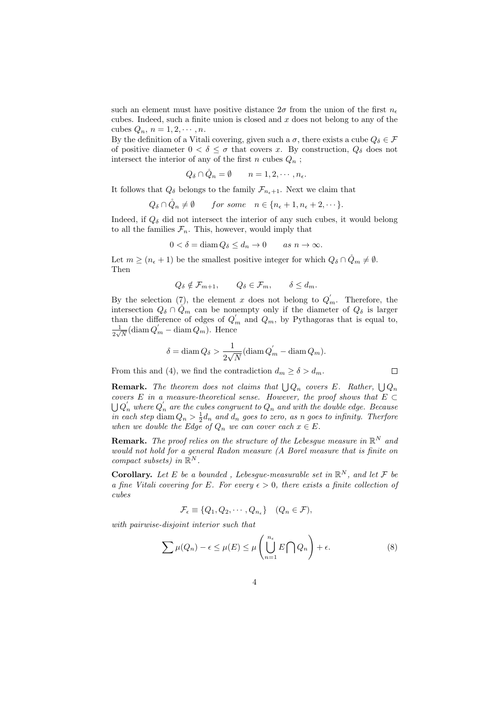such an element must have positive distance  $2\sigma$  from the union of the first  $n_e$ cubes. Indeed, such a finite union is closed and  $x$  does not belong to any of the cubes  $Q_n$ ,  $n = 1, 2, \cdots, n$ .

By the definition of a Vitali covering, given such a  $\sigma$ , there exists a cube  $Q_{\delta} \in \mathcal{F}$ of positive diameter  $0 < \delta \leq \sigma$  that covers x. By construction,  $Q_{\delta}$  does not intersect the interior of any of the first  $n$  cubes  $Q_n$ ;

$$
Q_{\delta} \cap \mathring{Q}_n = \emptyset \qquad n = 1, 2, \cdots, n_{\epsilon}.
$$

It follows that  $Q_{\delta}$  belongs to the family  $\mathcal{F}_{n_{\epsilon}+1}$ . Next we claim that

$$
Q_{\delta} \cap \mathring{Q}_n \neq \emptyset
$$
 for some  $n \in \{n_{\epsilon}+1, n_{\epsilon}+2, \cdots\}.$ 

Indeed, if  $Q_{\delta}$  did not intersect the interior of any such cubes, it would belong to all the families  $\mathcal{F}_n$ . This, however, would imply that

$$
0 < \delta = \operatorname{diam} Q_{\delta} \le d_n \to 0 \qquad \text{as } n \to \infty.
$$

Let  $m \geq (n_{\epsilon} + 1)$  be the smallest positive integer for which  $Q_{\delta} \cap \mathring{Q}_m \neq \emptyset$ . Then

$$
Q_{\delta} \notin \mathcal{F}_{m+1}, \qquad Q_{\delta} \in \mathcal{F}_m, \qquad \delta \leq d_m.
$$

By the selection  $(7)$ , the element x does not belong to  $Q'_m$ . Therefore, the intersection  $Q_{\delta} \cap Q_{m}$  can be nonempty only if the diameter of  $Q_{\delta}$  is larger than the difference of edges of  $Q_m$  and  $Q_m$ , by Pythagoras that is equal to, 1  $\frac{1}{2\sqrt{N}}(\text{diam }Q_m)$  – diam  $Q_m$ ). Hence

$$
\delta = \text{diam}\, Q_{\delta} > \frac{1}{2\sqrt{N}}(\text{diam}\, Q_m' - \text{diam}\, Q_m).
$$

From this and (4), we find the contradiction  $d_m \geq \delta > d_m$ .

**Remark.** The theorem does not claims that  $\bigcup Q_n$  covers E. Rather,  $\bigcup Q_n$ covers E in a measure-theoretical sense. However, the proof shows that  $E \subset$  $\bigcup Q_n^{'}$  where  $Q_n^{'}$  are the cubes congruent to  $Q_n$  and with the double edge. Because in each step diam  $Q_n > \frac{1}{2}d_n$  and  $d_n$  goes to zero, as n goes to infinity. Therfore when we double the Edge of  $Q_n$  we can cover each  $x \in E$ .

 $\Box$ 

**Remark.** The proof relies on the structure of the Lebesgue measure in  $\mathbb{R}^N$  and would not hold for a general Radon measure (A Borel measure that is finite on compact subsets) in  $\mathbb{R}^N$ .

**Corollary.** Let E be a bounded, Lebesgue-measurable set in  $\mathbb{R}^N$ , and let F be a fine Vitali covering for E. For every  $\epsilon > 0$ , there exists a finite collection of cubes

$$
\mathcal{F}_{\epsilon} \equiv \{Q_1, Q_2, \cdots, Q_{n_{\epsilon}}\} \quad (Q_n \in \mathcal{F}),
$$

with pairwise-disjoint interior such that

$$
\sum \mu(Q_n) - \epsilon \le \mu(E) \le \mu\left(\bigcup_{n=1}^{n_{\epsilon}} E\bigcap Q_n\right) + \epsilon. \tag{8}
$$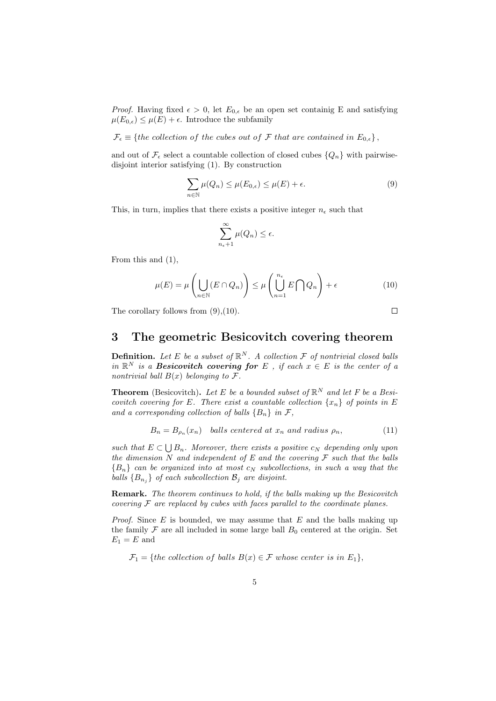*Proof.* Having fixed  $\epsilon > 0$ , let  $E_{0,\epsilon}$  be an open set containig E and satisfying  $\mu(E_{0,\epsilon}) \leq \mu(E) + \epsilon$ . Introduce the subfamily

 $\mathcal{F}_{\epsilon} \equiv \{the \ collection \ of \ the \ cubes \ out \ of \ \mathcal{F} \ that \ are \ contained \ in \ E_{0,\epsilon} \},\$ 

and out of  $\mathcal{F}_{\epsilon}$  select a countable collection of closed cubes  $\{Q_n\}$  with pairwisedisjoint interior satisfying (1). By construction

$$
\sum_{n \in \mathbb{N}} \mu(Q_n) \le \mu(E_{0,\epsilon}) \le \mu(E) + \epsilon.
$$
\n(9)

This, in turn, implies that there exists a positive integer  $n_{\epsilon}$  such that

$$
\sum_{n_{\epsilon}+1}^{\infty} \mu(Q_n) \leq \epsilon.
$$

From this and (1),

$$
\mu(E) = \mu\left(\bigcup_{n \in \mathbb{N}} (E \cap Q_n)\right) \le \mu\left(\bigcup_{n=1}^{n_{\epsilon}} E \cap Q_n\right) + \epsilon \tag{10}
$$

The corollary follows from  $(9)$ ,  $(10)$ .

$$
\Box
$$

#### 3 The geometric Besicovitch covering theorem

**Definition.** Let E be a subset of  $\mathbb{R}^N$ . A collection F of nontrivial closed balls in  $\mathbb{R}^N$  is a **Besicovitch covering for** E, if each  $x \in E$  is the center of a nontrivial ball  $B(x)$  belonging to  $\mathcal{F}.$ 

**Theorem** (Besicovitch). Let E be a bounded subset of  $\mathbb{R}^N$  and let F be a Besicovitch covering for E. There exist a countable collection  $\{x_n\}$  of points in E and a corresponding collection of balls  ${B_n}$  in F,

$$
B_n = B_{\rho_n}(x_n) \quad balls \text{ centered at } x_n \text{ and radius } \rho_n,
$$
 (11)

such that  $E \subset \bigcup B_n$ . Moreover, there exists a positive  $c_N$  depending only upon the dimension N and independent of E and the covering  $\mathcal F$  such that the balls  ${B_n}$  can be organized into at most  $c_N$  subcollections, in such a way that the balls  ${B_{n_i}}$  of each subcollection  $B_i$  are disjoint.

Remark. The theorem continues to hold, if the balls making up the Besicovitch covering  $\mathcal F$  are replaced by cubes with faces parallel to the coordinate planes.

*Proof.* Since  $E$  is bounded, we may assume that  $E$  and the balls making up the family  $\mathcal F$  are all included in some large ball  $B_0$  centered at the origin. Set  $\mathcal{E}_1 = \mathcal{E}$  and

 $\mathcal{F}_1 = \{the \; collection \; of \; balls \; B(x) \in \mathcal{F} \; whose \; center \; is \; in \; E_1\},\$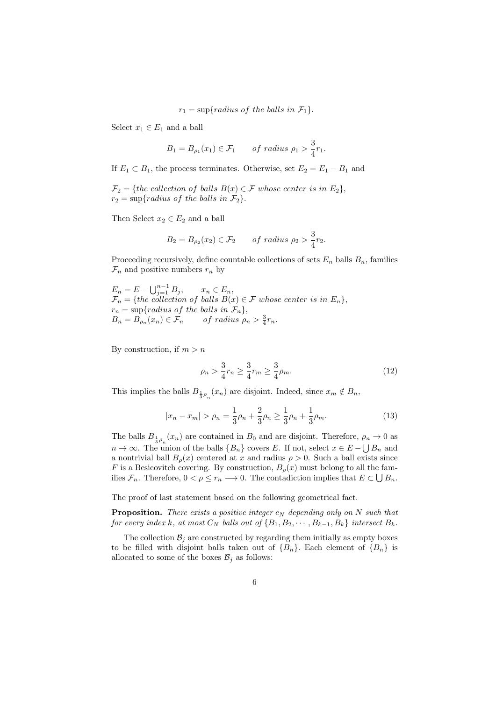$r_1 = \sup\{radians\ of\ the\ balls\ in\ \mathcal{F}_1\}.$ 

Select  $x_1 \in E_1$  and a ball

$$
B_1 = B_{\rho_1}(x_1) \in \mathcal{F}_1 \qquad \text{of radius } \rho_1 > \frac{3}{4}r_1.
$$

If  $E_1 \subset B_1$ , the process terminates. Otherwise, set  $E_2 = E_1 - B_1$  and

 $\mathcal{F}_2 = \{the \ collection \ of \ balls \ B(x) \in \mathcal{F} \ whose \ center \ is \ in \ E_2 \},\$  $r_2 = \sup\{radians\ of\ the\ balls\ in\ \mathcal{F}_2\}.$ 

Then Select  $x_2 \in E_2$  and a ball

$$
B_2 = B_{\rho_2}(x_2) \in \mathcal{F}_2 \qquad \text{of radius } \rho_2 > \frac{3}{4}r_2.
$$

Proceeding recursively, define countable collections of sets  $E_n$  balls  $B_n$ , families  $\mathcal{F}_n$  and positive numbers  $r_n$  by

 $E_n = E - \bigcup_{j=1}^{n-1} B_j, \qquad x_n \in E_n,$  $\mathcal{F}_n = \{the \; collection \; of \; balls \; B(x) \in \mathcal{F} \; whose \; center \; is \; in \; E_n\},\$  $r_n = \sup\{radians\ of\ the\ balls\ in\ \mathcal{F}_n\},\$  $B_n = B_{\rho_n}(x_n) \in \mathcal{F}_n$  of radius  $\rho_n > \frac{3}{4}r_n$ .

By construction, if  $m > n$ 

$$
\rho_n > \frac{3}{4} r_n \ge \frac{3}{4} r_m \ge \frac{3}{4} \rho_m. \tag{12}
$$

This implies the balls  $B_{\frac{1}{3}\rho_n}(x_n)$  are disjoint. Indeed, since  $x_m \notin B_n$ ,

$$
|x_n - x_m| > \rho_n = \frac{1}{3}\rho_n + \frac{2}{3}\rho_n \ge \frac{1}{3}\rho_n + \frac{1}{3}\rho_m.
$$
 (13)

The balls  $B_{\frac{1}{3}\rho_n}(x_n)$  are contained in  $B_0$  and are disjoint. Therefore,  $\rho_n \to 0$  as  $n \to \infty$ . The union of the balls  $\{B_n\}$  covers E. If not, select  $x \in E - \bigcup B_n$  and a nontrivial ball  $B_{\rho}(x)$  centered at x and radius  $\rho > 0$ . Such a ball exists since F is a Besicovitch covering. By construction,  $B_{\rho}(x)$  must belong to all the families  $\mathcal{F}_n$ . Therefore,  $0 < \rho \leq r_n \longrightarrow 0$ . The contadiction implies that  $E \subset \bigcup B_n$ .

The proof of last statement based on the following geometrical fact.

**Proposition.** There exists a positive integer  $c_N$  depending only on N such that for every index k, at most  $C_N$  balls out of  $\{B_1, B_2, \cdots, B_{k-1}, B_k\}$  intersect  $B_k$ .

The collection  $\mathcal{B}_i$  are constructed by regarding them initially as empty boxes to be filled with disjoint balls taken out of  ${B_n}$ . Each element of  ${B_n}$  is allocated to some of the boxes  $\mathcal{B}_j$  as follows: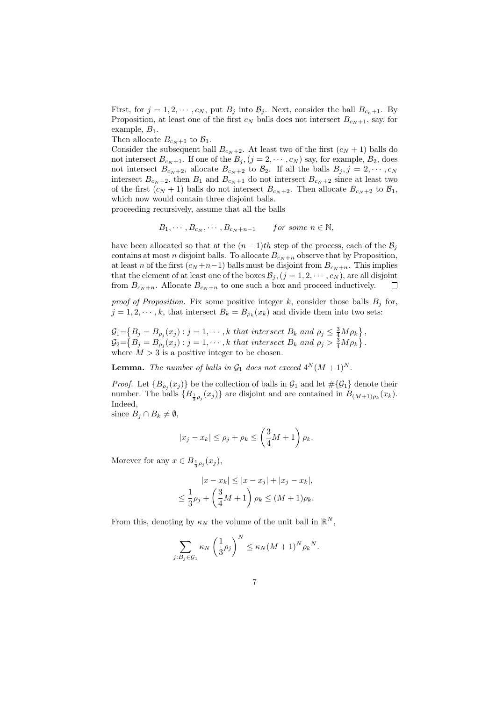First, for  $j = 1, 2, \dots, c_N$ , put  $B_j$  into  $\mathcal{B}_j$ . Next, consider the ball  $B_{c_n+1}$ . By Proposition, at least one of the first  $c_N$  balls does not intersect  $B_{c_N+1}$ , say, for example,  $B_1$ .

Then allocate  $B_{c_N+1}$  to  $\mathcal{B}_1$ .

Consider the subsequent ball  $B_{c_N+2}$ . At least two of the first  $(c_N + 1)$  balls do not intersect  $B_{c_N+1}$ . If one of the  $B_j$ ,  $(j = 2, \dots, c_N)$  say, for example,  $B_2$ , does not intersect  $B_{c_N+2}$ , allocate  $B_{c_N+2}$  to  $\mathcal{B}_2$ . If all the balls  $B_j, j = 2, \cdots, c_N$ intersect  $B_{c_N+2}$ , then  $B_1$  and  $B_{c_N+1}$  do not intersect  $B_{c_N+2}$  since at least two of the first  $(c_N + 1)$  balls do not intersect  $B_{c_N + 2}$ . Then allocate  $B_{c_N + 2}$  to  $\mathcal{B}_1$ , which now would contain three disjoint balls.

proceeding recursively, assume that all the balls

$$
B_1, \cdots, B_{c_N}, \cdots, B_{c_N+n-1} \qquad \text{for some } n \in \mathbb{N},
$$

have been allocated so that at the  $(n-1)th$  step of the process, each of the  $\mathcal{B}_j$ contains at most n disjoint balls. To allocate  $B_{c_N+n}$  observe that by Proposition, at least n of the first  $(c_N + n-1)$  balls must be disjoint from  $B_{c_N+n}$ . This implies that the element of at least one of the boxes  $\mathcal{B}_j$ ,  $(j = 1, 2, \dots, c_N)$ , are all disjoint from  $B_{c_N+n}$ . Allocate  $B_{c_N+n}$  to one such a box and proceed inductively.  $\Box$ 

proof of Proposition. Fix some positive integer k, consider those balls  $B_j$  for,  $j = 1, 2, \dots, k$ , that intersect  $B_k = B_{\rho_k}(x_k)$  and divide them into two sets:

 $\mathcal{G}_1 = \left\{ B_j = B_{\rho_j}(x_j) : j = 1, \cdots, k \text{ that intersect } B_k \text{ and } \rho_j \leq \frac{3}{4} M \rho_k \right\},\$  $\mathcal{G}_2 = \left\{ B_j = B_{\rho_j}(x_j) : j = 1, \cdots, k \text{ that intersect } B_k \text{ and } \rho_j > \frac{3}{4} M \rho_k \right\}.$ where  $M > 3$  is a positive integer to be chosen.

**Lemma.** The number of balls in  $\mathcal{G}_1$  does not exceed  $4^N(M+1)^N$ .

*Proof.* Let  $\{B_{\rho_j}(x_j)\}\$ be the collection of balls in  $\mathcal{G}_1$  and let  $\#\{\mathcal{G}_1\}$  denote their number. The balls  ${B_{\frac{1}{3}\rho_j}(x_j)}$  are disjoint and are contained in  $B_{(M+1)\rho_k}(x_k)$ . Indeed,

since  $B_i \cap B_k \neq \emptyset$ ,

$$
|x_j - x_k| \le \rho_j + \rho_k \le \left(\frac{3}{4}M + 1\right)\rho_k.
$$

Morever for any  $x \in B_{\frac{1}{3}\rho_j}(x_j)$ ,

$$
|x - x_k| \le |x - x_j| + |x_j - x_k|,
$$
  

$$
\le \frac{1}{3}\rho_j + \left(\frac{3}{4}M + 1\right)\rho_k \le (M + 1)\rho_k.
$$

From this, denoting by  $\kappa_N$  the volume of the unit ball in  $\mathbb{R}^N$ ,

$$
\sum_{j:B_j\in\mathcal{G}_1} \kappa_N \left(\frac{1}{3}\rho_j\right)^N \leq \kappa_N (M+1)^N \rho_k^N.
$$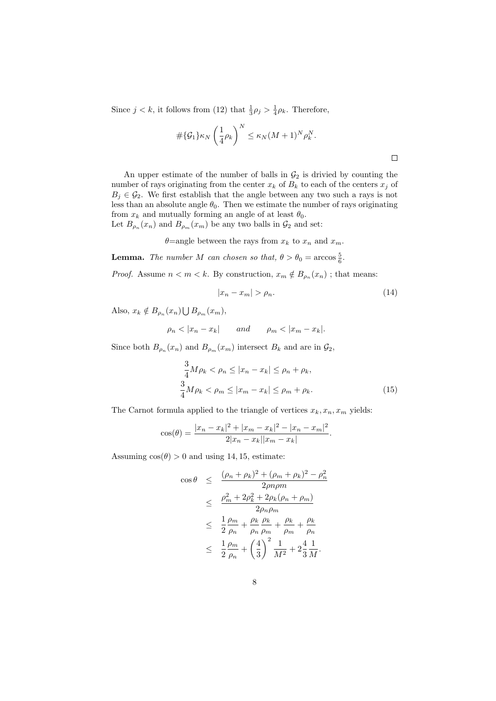Since  $j < k$ , it follows from (12) that  $\frac{1}{3}\rho_j > \frac{1}{4}\rho_k$ . Therefore,

$$
\#\{\mathcal{G}_1\}\kappa_N\left(\frac{1}{4}\rho_k\right)^N \leq \kappa_N(M+1)^N\rho_k^N.
$$

An upper estimate of the number of balls in  $\mathcal{G}_2$  is drivied by counting the number of rays originating from the center  $x_k$  of  $B_k$  to each of the centers  $x_j$  of  $B_j \in \mathcal{G}_2$ . We first establish that the angle between any two such a rays is not less than an absolute angle  $\theta_0$ . Then we estimate the number of rays originating from  $x_k$  and mutually forming an angle of at least  $\theta_0$ . Let  $B_{\rho_n}(x_n)$  and  $B_{\rho_m}(x_m)$  be any two balls in  $\mathcal{G}_2$  and set:

$$
\theta
$$
=angle between the rays from  $x_k$  to  $x_n$  and  $x_m$ .

**Lemma.** The number M can chosen so that,  $\theta > \theta_0 = \arccos \frac{5}{6}$ .

*Proof.* Assume  $n < m < k$ . By construction,  $x_m \notin B_{\rho_n}(x_n)$ ; that means:

$$
|x_n - x_m| > \rho_n. \tag{14}
$$

Also,  $x_k \notin B_{\rho_n}(x_n) \bigcup B_{\rho_m}(x_m)$ ,

$$
\rho_n < |x_n - x_k| \qquad and \qquad \rho_m < |x_m - x_k|.
$$

Since both  $B_{\rho_n}(x_n)$  and  $B_{\rho_m}(x_m)$  intersect  $B_k$  and are in  $\mathcal{G}_2$ ,

$$
\frac{3}{4}M\rho_k < \rho_n \le |x_n - x_k| \le \rho_n + \rho_k,
$$
\n
$$
\frac{3}{4}M\rho_k < \rho_m \le |x_m - x_k| \le \rho_m + \rho_k. \tag{15}
$$

The Carnot formula applied to the triangle of vertices  $x_k, x_n, x_m$  yields:

$$
\cos(\theta) = \frac{|x_n - x_k|^2 + |x_m - x_k|^2 - |x_n - x_m|^2}{2|x_n - x_k||x_m - x_k|}.
$$

Assuming  $cos(\theta) > 0$  and using 14, 15, estimate:

$$
\cos \theta \leq \frac{(\rho_n + \rho_k)^2 + (\rho_m + \rho_k)^2 - \rho_n^2}{2\rho n \rho m}
$$
  
\n
$$
\leq \frac{\rho_m^2 + 2\rho_k^2 + 2\rho_k(\rho_n + \rho_m)}{2\rho_n \rho_m}
$$
  
\n
$$
\leq \frac{1}{2} \frac{\rho_m}{\rho_n} + \frac{\rho_k}{\rho_n} \frac{\rho_k}{\rho_m} + \frac{\rho_k}{\rho_m} + \frac{\rho_k}{\rho_n}
$$
  
\n
$$
\leq \frac{1}{2} \frac{\rho_m}{\rho_n} + \left(\frac{4}{3}\right)^2 \frac{1}{M^2} + 2\frac{4}{3} \frac{1}{M}.
$$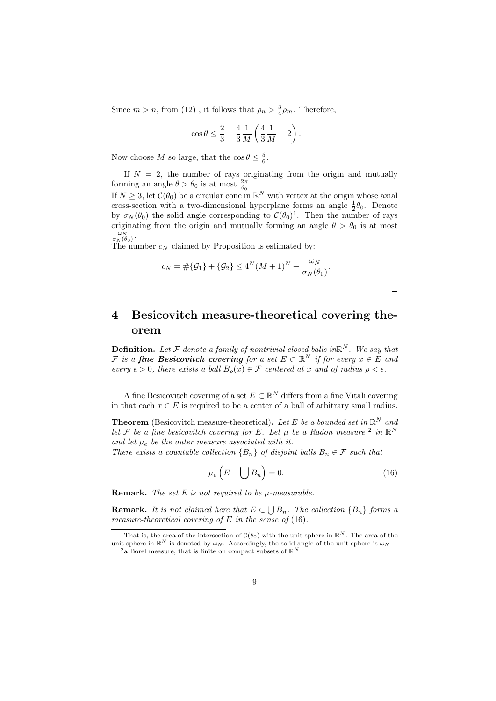Since  $m > n$ , from (12), it follows that  $\rho_n > \frac{3}{4}\rho_m$ . Therefore,

$$
\cos \theta \le \frac{2}{3} + \frac{4}{3} \frac{1}{M} \left( \frac{4}{3} \frac{1}{M} + 2 \right).
$$

Now choose M so large, that the  $\cos \theta \leq \frac{5}{6}$ .

If  $N = 2$ , the number of rays originating from the origin and mutually forming an angle  $\theta > \theta_0$  is at most  $\frac{2\pi}{\theta_0}$ .

If  $N \geq 3$ , let  $\mathcal{C}(\theta_0)$  be a circular cone in  $\mathbb{R}^N$  with vertex at the origin whose axial cross-section with a two-dimensional hyperplane forms an angle  $\frac{1}{2}\theta_0$ . Denote by  $\sigma_N(\theta_0)$  the solid angle corresponding to  $\mathcal{C}(\theta_0)^1$ . Then the number of rays originating from the origin and mutually forming an angle  $\theta > \theta_0$  is at most  $\frac{\omega_N}{\sigma_N(\theta_0)}$ .

The number  $c_N$  claimed by Proposition is estimated by:

$$
c_N = #\{\mathcal{G}_1\} + \{\mathcal{G}_2\} \le 4^N (M+1)^N + \frac{\omega_N}{\sigma_N(\theta_0)}.
$$

 $\Box$ 

# 4 Besicovitch measure-theoretical covering theorem

**Definition.** Let F denote a family of nontrivial closed balls in  $\mathbb{R}^N$ . We say that F is a fine Besicovitch covering for a set  $E \subset \mathbb{R}^N$  if for every  $x \in E$  and every  $\epsilon > 0$ , there exists a ball  $B_{\rho}(x) \in \mathcal{F}$  centered at x and of radius  $\rho < \epsilon$ .

A fine Besicovitch covering of a set  $E \subset \mathbb{R}^N$  differs from a fine Vitali covering in that each  $x \in E$  is required to be a center of a ball of arbitrary small radius.

**Theorem** (Besicovitch measure-theoretical). Let E be a bounded set in  $\mathbb{R}^N$  and let F be a fine besicovitch covering for E. Let  $\mu$  be a Radon measure <sup>2</sup> in  $\mathbb{R}^N$ and let  $\mu_e$  be the outer measure associated with it.

There exists a countable collection  ${B_n}$  of disjoint balls  $B_n \in \mathcal{F}$  such that

$$
\mu_e \left( E - \bigcup B_n \right) = 0. \tag{16}
$$

**Remark.** The set  $E$  is not required to be  $\mu$ -measurable.

**Remark.** It is not claimed here that  $E \subset \bigcup B_n$ . The collection  $\{B_n\}$  forms a measure-theoretical covering of E in the sense of  $(16)$ .

 $\Box$ 

<sup>&</sup>lt;sup>1</sup>That is, the area of the intersection of  $\mathcal{C}(\theta_0)$  with the unit sphere in  $\mathbb{R}^N$ . The area of the unit sphere in  $\mathbb{R}^N$  is denoted by  $\omega_N$ . Accordingly, the solid angle of the unit sphere is  $\omega_N$ 

<sup>&</sup>lt;sup>2</sup>a Borel measure, that is finite on compact subsets of  $\mathbb{R}^N$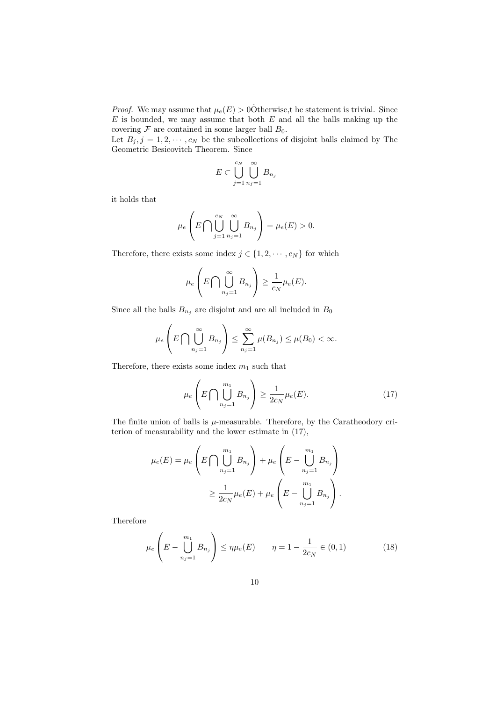*Proof.* We may assume that  $\mu_e(E) > 0$ Otherwise, the statement is trivial. Since  $E$  is bounded, we may assume that both  $E$  and all the balls making up the covering  $\mathcal F$  are contained in some larger ball  $B_0$ .

Let  $B_j, j = 1, 2, \dots, c_N$  be the subcollections of disjoint balls claimed by The Geometric Besicovitch Theorem. Since

$$
E \subset \bigcup_{j=1}^{c_N} \bigcup_{n_j=1}^{\infty} B_{n_j}
$$

it holds that

$$
\mu_e\left(E\bigcap\bigcup_{j=1}^{c_N}\bigcup_{n_j=1}^{\infty}B_{n_j}\right)=\mu_e(E)>0.
$$

Therefore, there exists some index  $j \in \{1, 2, \dots, c_N\}$  for which

$$
\mu_e\left(E\bigcap\bigcup_{n_j=1}^{\infty}B_{n_j}\right)\geq\frac{1}{c_N}\mu_e(E).
$$

Since all the balls  $B_{n_j}$  are disjoint and are all included in  $B_0$ 

$$
\mu_e\left(E\bigcap\bigcup_{n_j=1}^{\infty}B_{n_j}\right)\leq \sum_{n_j=1}^{\infty}\mu(B_{n_j})\leq \mu(B_0)<\infty.
$$

Therefore, there exists some index  $m_1$  such that

$$
\mu_e \left( E \bigcap \bigcup_{n_j=1}^{m_1} B_{n_j} \right) \ge \frac{1}{2c_N} \mu_e(E). \tag{17}
$$

The finite union of balls is  $\mu$ -measurable. Therefore, by the Caratheodory criterion of measurability and the lower estimate in (17),

$$
\mu_e(E) = \mu_e \left( E \bigcap \bigcup_{n_j=1}^{m_1} B_{n_j} \right) + \mu_e \left( E - \bigcup_{n_j=1}^{m_1} B_{n_j} \right)
$$
  

$$
\geq \frac{1}{2c_N} \mu_e(E) + \mu_e \left( E - \bigcup_{n_j=1}^{m_1} B_{n_j} \right).
$$

Therefore

$$
\mu_e \left( E - \bigcup_{n_j=1}^{m_1} B_{n_j} \right) \le \eta \mu_e(E) \qquad \eta = 1 - \frac{1}{2c_N} \in (0, 1)
$$
 (18)